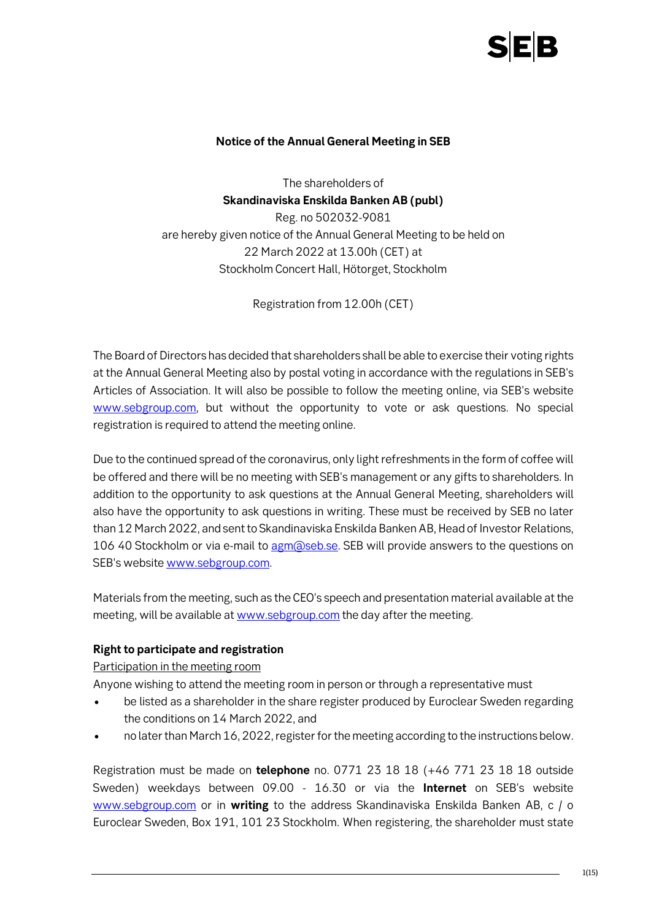

### **Notice of the Annual General Meeting in SEB**

The shareholders of **Skandinaviska Enskilda Banken AB (publ)** Reg. no 502032-9081 are hereby given notice of the Annual General Meeting to be held on 22 March 2022 at 13.00h (CET) at Stockholm Concert Hall, Hötorget, Stockholm

Registration from 12.00h (CET)

The Board of Directors has decided that shareholders shall be able to exercise their voting rights at the Annual General Meeting also by postal voting in accordance with the regulations in SEB's Articles of Association. It will also be possible to follow the meeting online, via SEB's website [www.sebgroup.com,](http://www.sebgroup.com/) but without the opportunity to vote or ask questions. No special registration is required to attend the meeting online.

Due to the continued spread of the coronavirus, only light refreshments in the form of coffee will be offered and there will be no meeting with SEB's management or any gifts to shareholders. In addition to the opportunity to ask questions at the Annual General Meeting, shareholders will also have the opportunity to ask questions in writing. These must be received by SEB no later than 12 March 2022, and sent to Skandinaviska Enskilda Banken AB, Head of Investor Relations, 106 40 Stockholm or via e-mail to [agm@seb.se.](mailto:agm@seb.se) SEB will provide answers to the questions on SEB's websit[e www.sebgroup.com.](http://www.sebgroup.com/)

Materials from the meeting, such as the CEO's speech and presentation material available at the meeting, will be available a[t www.sebgroup.com](http://www.sebgroup.com/) the day after the meeting.

#### **Right to participate and registration**

Participation in the meeting room

Anyone wishing to attend the meeting room in person or through a representative must

- be listed as a shareholder in the share register produced by Euroclear Sweden regarding the conditions on 14 March 2022, and
- no later than March 16, 2022, register for the meeting according to the instructions below.

Registration must be made on **telephone** no. 0771 23 18 18 (+46 771 23 18 18 outside Sweden) weekdays between 09.00 - 16.30 or via the **Internet** on SEB's website [www.sebgroup.com](http://www.sebgroup.com/) or in **writing** to the address Skandinaviska Enskilda Banken AB, c / o Euroclear Sweden, Box 191, 101 23 Stockholm. When registering, the shareholder must state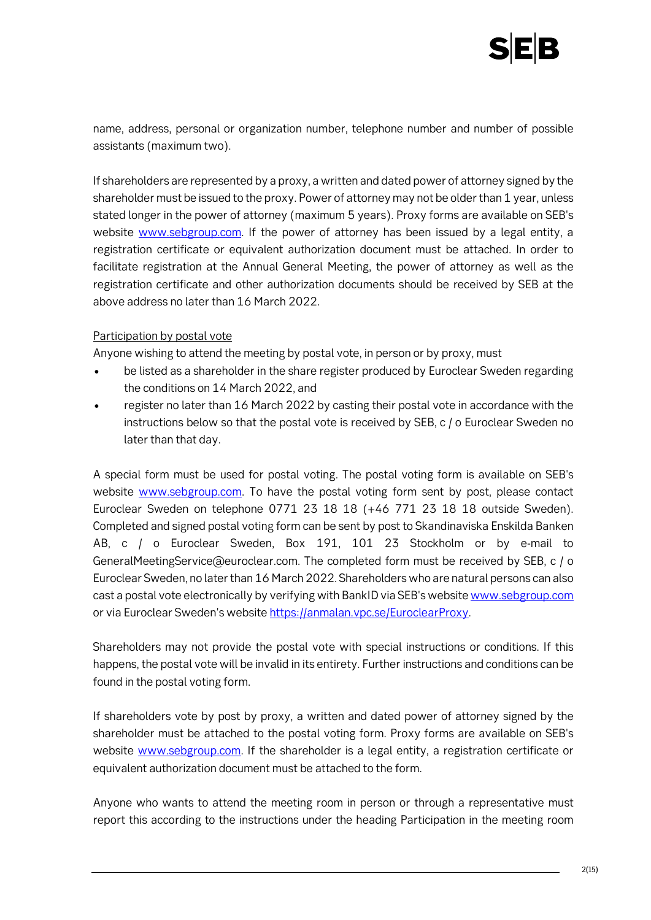

name, address, personal or organization number, telephone number and number of possible assistants (maximum two).

If shareholders are represented by a proxy, a written and dated power of attorney signed by the shareholder must be issued to the proxy. Power of attorney may not be older than 1 year, unless stated longer in the power of attorney (maximum 5 years). Proxy forms are available on SEB's website [www.sebgroup.com.](http://www.sebgroup.com/) If the power of attorney has been issued by a legal entity, a registration certificate or equivalent authorization document must be attached. In order to facilitate registration at the Annual General Meeting, the power of attorney as well as the registration certificate and other authorization documents should be received by SEB at the above address no later than 16 March 2022.

#### Participation by postal vote

Anyone wishing to attend the meeting by postal vote, in person or by proxy, must

- be listed as a shareholder in the share register produced by Euroclear Sweden regarding the conditions on 14 March 2022, and
- register no later than 16 March 2022 by casting their postal vote in accordance with the instructions below so that the postal vote is received by SEB, c / o Euroclear Sweden no later than that day.

A special form must be used for postal voting. The postal voting form is available on SEB's website [www.sebgroup.com.](http://www.sebgroup.com/) To have the postal voting form sent by post, please contact Euroclear Sweden on telephone 0771 23 18 18 (+46 771 23 18 18 outside Sweden). Completed and signed postal voting form can be sent by post to Skandinaviska Enskilda Banken AB, c / o Euroclear Sweden, Box 191, 101 23 Stockholm or by e-mail to GeneralMeetingService@euroclear.com. The completed form must be received by SEB, c / o Euroclear Sweden, no later than 16 March 2022. Shareholders who are natural persons can also cast a postal vote electronically by verifying with BankID via SEB's websit[e www.sebgroup.com](http://www.sebgroup.com/) or via Euroclear Sweden's websit[e https://anmalan.vpc.se/EuroclearProxy.](https://anmalan.vpc.se/EuroclearProxy)

Shareholders may not provide the postal vote with special instructions or conditions. If this happens, the postal vote will be invalid in its entirety. Further instructions and conditions can be found in the postal voting form.

If shareholders vote by post by proxy, a written and dated power of attorney signed by the shareholder must be attached to the postal voting form. Proxy forms are available on SEB's website [www.sebgroup.com.](http://www.sebgroup.com/) If the shareholder is a legal entity, a registration certificate or equivalent authorization document must be attached to the form.

Anyone who wants to attend the meeting room in person or through a representative must report this according to the instructions under the heading Participation in the meeting room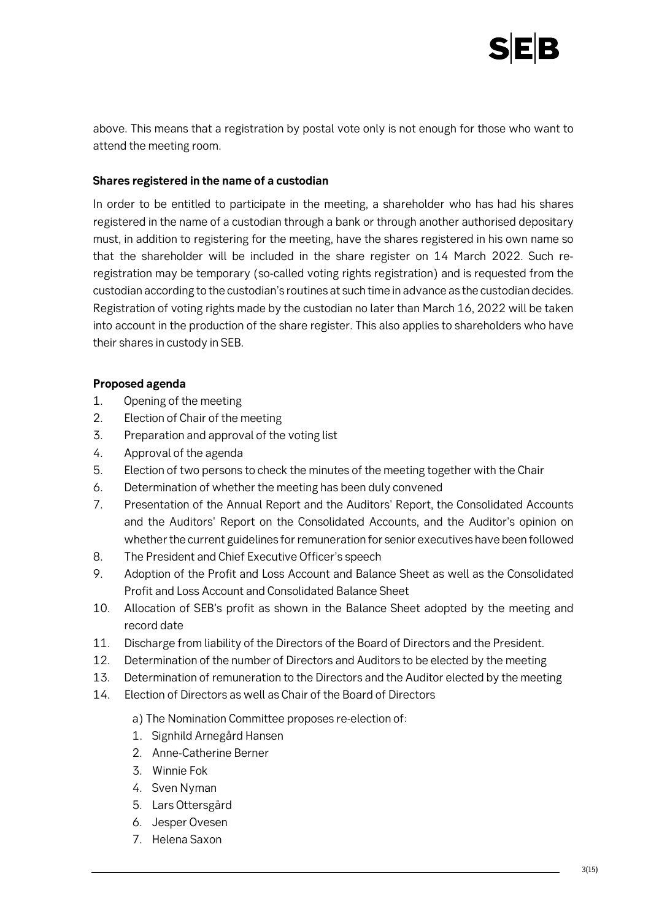

above. This means that a registration by postal vote only is not enough for those who want to attend the meeting room.

#### **Shares registered in the name of a custodian**

In order to be entitled to participate in the meeting, a shareholder who has had his shares registered in the name of a custodian through a bank or through another authorised depositary must, in addition to registering for the meeting, have the shares registered in his own name so that the shareholder will be included in the share register on 14 March 2022. Such reregistration may be temporary (so-called voting rights registration) and is requested from the custodian according to the custodian's routines at such time in advance as the custodian decides. Registration of voting rights made by the custodian no later than March 16, 2022 will be taken into account in the production of the share register. This also applies to shareholders who have their shares in custody in SEB.

#### **Proposed agenda**

- 1. Opening of the meeting
- 2. Election of Chair of the meeting
- 3. Preparation and approval of the voting list
- 4. Approval of the agenda
- 5. Election of two persons to check the minutes of the meeting together with the Chair
- 6. Determination of whether the meeting has been duly convened
- 7. Presentation of the Annual Report and the Auditors' Report, the Consolidated Accounts and the Auditors' Report on the Consolidated Accounts, and the Auditor's opinion on whether the current guidelines for remuneration for senior executives have been followed
- 8. The President and Chief Executive Officer's speech
- 9. Adoption of the Profit and Loss Account and Balance Sheet as well as the Consolidated Profit and Loss Account and Consolidated Balance Sheet
- 10. Allocation of SEB's profit as shown in the Balance Sheet adopted by the meeting and record date
- 11. Discharge from liability of the Directors of the Board of Directors and the President.
- 12. Determination of the number of Directors and Auditors to be elected by the meeting
- 13. Determination of remuneration to the Directors and the Auditor elected by the meeting
- 14. Election of Directors as well as Chair of the Board of Directors
	- a) The Nomination Committee proposes re-election of:
	- 1. Signhild Arnegård Hansen
	- 2. Anne-Catherine Berner
	- 3. Winnie Fok
	- 4. Sven Nyman
	- 5. Lars Ottersgård
	- 6. Jesper Ovesen
	- 7. Helena Saxon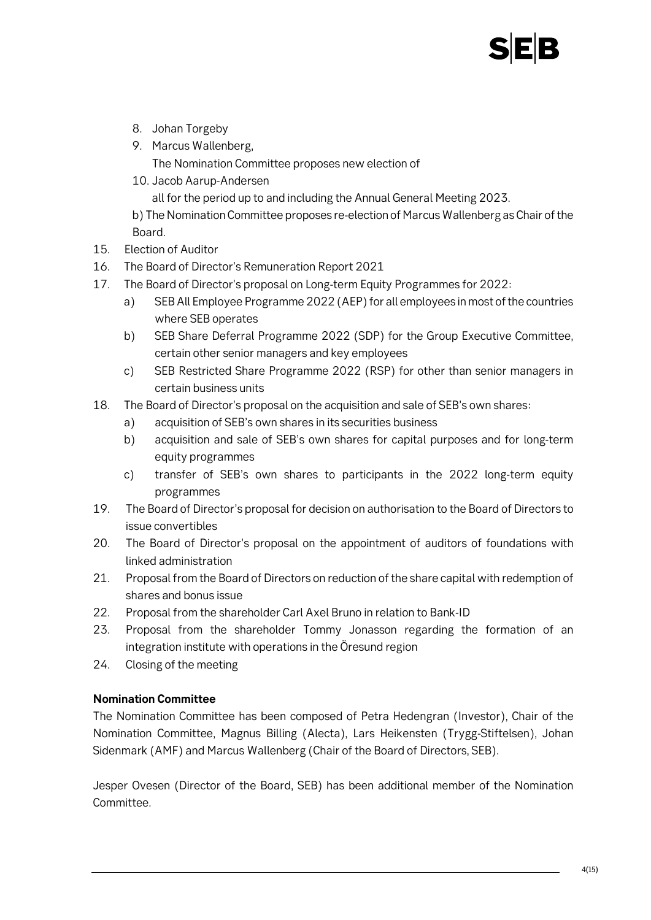# EB

8. Johan Torgeby

9. Marcus Wallenberg,

The Nomination Committee proposes new election of

10. Jacob Aarup-Andersen

all for the period up to and including the Annual General Meeting 2023.

b) The Nomination Committee proposes re-election of Marcus Wallenberg as Chair of the Board.

- 15. Election of Auditor
- 16. The Board of Director's Remuneration Report 2021
- 17. The Board of Director's proposal on Long-term Equity Programmes for 2022:
	- a) SEB All Employee Programme 2022 (AEP) for all employees in most of the countries where SEB operates
	- b) SEB Share Deferral Programme 2022 (SDP) for the Group Executive Committee, certain other senior managers and key employees
	- c) SEB Restricted Share Programme 2022 (RSP) for other than senior managers in certain business units
- 18. The Board of Director's proposal on the acquisition and sale of SEB's own shares:
	- a) acquisition of SEB's own shares in its securities business
	- b) acquisition and sale of SEB's own shares for capital purposes and for long-term equity programmes
	- c) transfer of SEB's own shares to participants in the 2022 long-term equity programmes
- 19. The Board of Director's proposal for decision on authorisation to the Board of Directors to issue convertibles
- 20. The Board of Director's proposal on the appointment of auditors of foundations with linked administration
- 21. Proposal from the Board of Directors on reduction of the share capital with redemption of shares and bonus issue
- 22. Proposal from the shareholder Carl Axel Bruno in relation to Bank-ID
- 23. Proposal from the shareholder Tommy Jonasson regarding the formation of an integration institute with operations in the Öresund region
- 24. Closing of the meeting

# **Nomination Committee**

The Nomination Committee has been composed of Petra Hedengran (Investor), Chair of the Nomination Committee, Magnus Billing (Alecta), Lars Heikensten (Trygg-Stiftelsen), Johan Sidenmark (AMF) and Marcus Wallenberg (Chair of the Board of Directors, SEB).

Jesper Ovesen (Director of the Board, SEB) has been additional member of the Nomination Committee.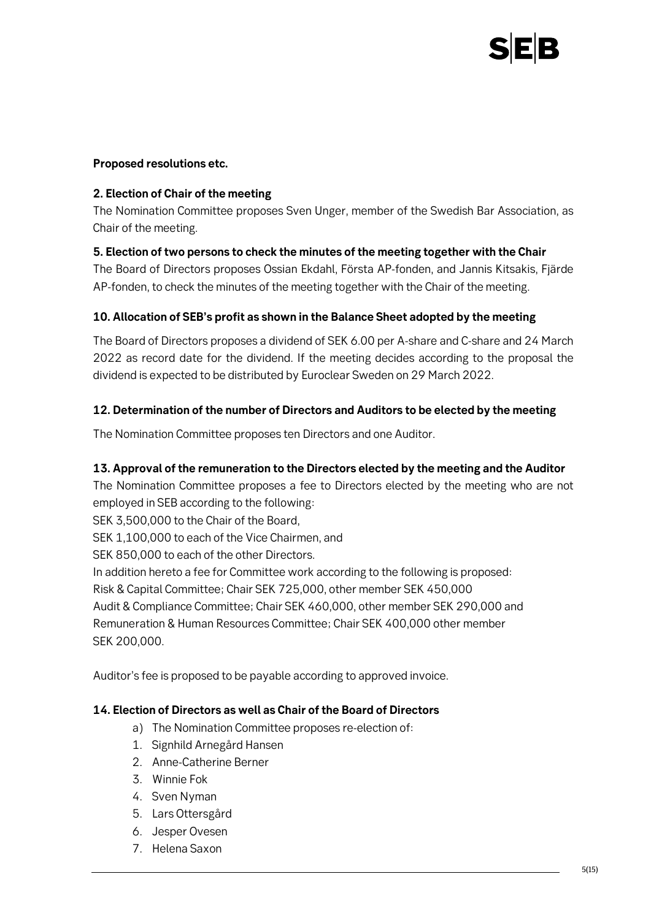

#### **Proposed resolutions etc.**

#### **2. Election of Chair of the meeting**

The Nomination Committee proposes Sven Unger, member of the Swedish Bar Association, as Chair of the meeting.

#### **5. Election of two persons to check the minutes of the meeting together with the Chair**

The Board of Directors proposes Ossian Ekdahl, Första AP-fonden, and Jannis Kitsakis, Fjärde AP-fonden, to check the minutes of the meeting together with the Chair of the meeting.

#### **10. Allocation of SEB's profit as shown in the Balance Sheet adopted by the meeting**

The Board of Directors proposes a dividend of SEK 6.00 per A-share and C-share and 24 March 2022 as record date for the dividend. If the meeting decides according to the proposal the dividend is expected to be distributed by Euroclear Sweden on 29 March 2022.

#### **12. Determination of the number of Directors and Auditors to be elected by the meeting**

The Nomination Committee proposes ten Directors and one Auditor.

# **13. Approval of the remuneration to the Directors elected by the meeting and the Auditor**

The Nomination Committee proposes a fee to Directors elected by the meeting who are not employed in SEB according to the following:

SEK 3,500,000 to the Chair of the Board,

SEK 1,100,000 to each of the Vice Chairmen, and

SEK 850,000 to each of the other Directors.

In addition hereto a fee for Committee work according to the following is proposed: Risk & Capital Committee; Chair SEK 725,000, other member SEK 450,000 Audit & Compliance Committee; Chair SEK 460,000, other member SEK 290,000 and

Remuneration & Human Resources Committee; Chair SEK 400,000 other member SEK 200,000.

Auditor's fee is proposed to be payable according to approved invoice.

#### **14. Election of Directors as well as Chair of the Board of Directors**

- a) The Nomination Committee proposes re-election of:
- 1. Signhild Arnegård Hansen
- 2. Anne-Catherine Berner
- 3. Winnie Fok
- 4. Sven Nyman
- 5. Lars Ottersgård
- 6. Jesper Ovesen
- 7. Helena Saxon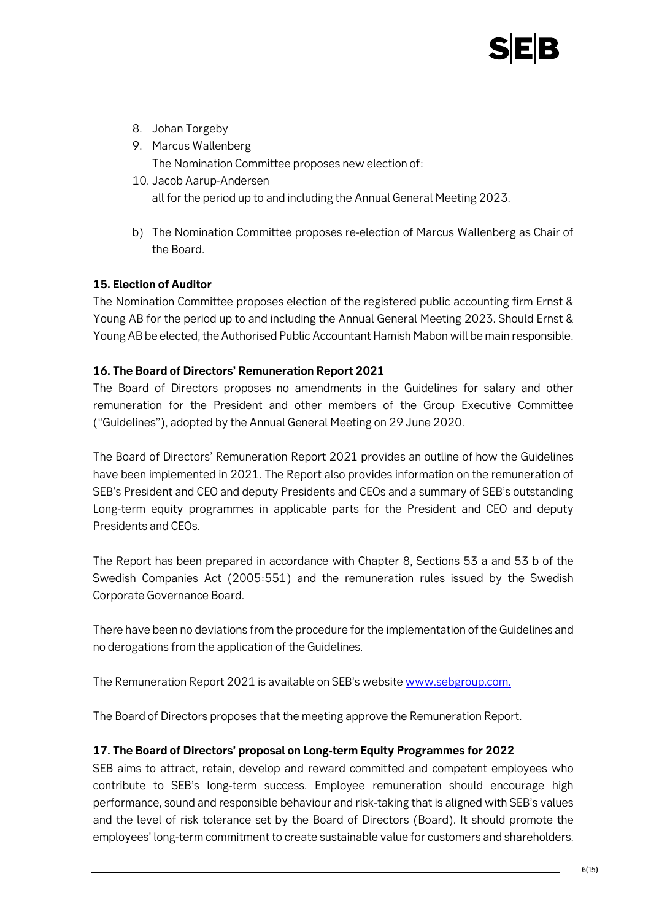- 8. Johan Torgeby
- 9. Marcus Wallenberg The Nomination Committee proposes new election of:
- 10. Jacob Aarup-Andersen all for the period up to and including the Annual General Meeting 2023.
- b) The Nomination Committee proposes re-election of Marcus Wallenberg as Chair of the Board.

# **15. Election of Auditor**

The Nomination Committee proposes election of the registered public accounting firm Ernst & Young AB for the period up to and including the Annual General Meeting 2023. Should Ernst & Young AB be elected, the Authorised Public Accountant Hamish Mabon will be main responsible.

#### **16. The Board of Directors' Remuneration Report 2021**

The Board of Directors proposes no amendments in the Guidelines for salary and other remuneration for the President and other members of the Group Executive Committee ("Guidelines"), adopted by the Annual General Meeting on 29 June 2020.

The Board of Directors' Remuneration Report 2021 provides an outline of how the Guidelines have been implemented in 2021. The Report also provides information on the remuneration of SEB's President and CEO and deputy Presidents and CEOs and a summary of SEB's outstanding Long-term equity programmes in applicable parts for the President and CEO and deputy Presidents and CEOs.

The Report has been prepared in accordance with Chapter 8, Sections 53 a and 53 b of the Swedish Companies Act (2005:551) and the remuneration rules issued by the Swedish Corporate Governance Board.

There have been no deviations from the procedure for the implementation of the Guidelines and no derogations from the application of the Guidelines.

The Remuneration Report 2021 is available on SEB's website [www.sebgroup.com.](http://www.sebgroup.com./)

The Board of Directors proposes that the meeting approve the Remuneration Report.

# **17. The Board of Directors' proposal on Long-term Equity Programmes for 2022**

SEB aims to attract, retain, develop and reward committed and competent employees who contribute to SEB's long-term success. Employee remuneration should encourage high performance, sound and responsible behaviour and risk-taking that is aligned with SEB's values and the level of risk tolerance set by the Board of Directors (Board). It should promote the employees' long-term commitment to create sustainable value for customers and shareholders.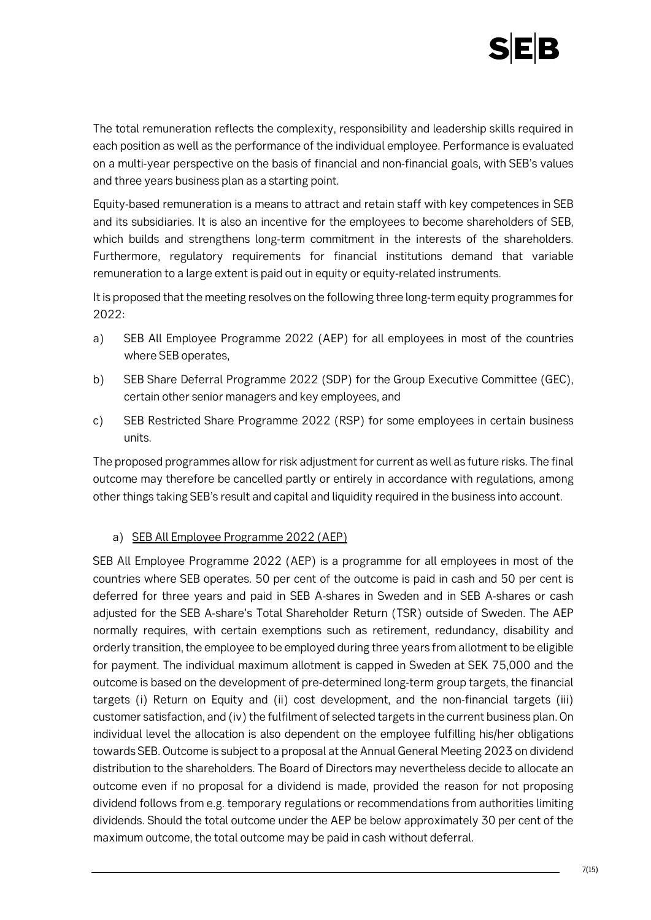

The total remuneration reflects the complexity, responsibility and leadership skills required in each position as well as the performance of the individual employee. Performance is evaluated on a multi-year perspective on the basis of financial and non-financial goals, with SEB's values and three years business plan as a starting point.

Equity-based remuneration is a means to attract and retain staff with key competences in SEB and its subsidiaries. It is also an incentive for the employees to become shareholders of SEB, which builds and strengthens long-term commitment in the interests of the shareholders. Furthermore, regulatory requirements for financial institutions demand that variable remuneration to a large extent is paid out in equity or equity-related instruments.

It is proposed that the meeting resolves on the following three long-term equity programmes for 2022:

- a) SEB All Employee Programme 2022 (AEP) for all employees in most of the countries where SEB operates,
- b) SEB Share Deferral Programme 2022 (SDP) for the Group Executive Committee (GEC), certain other senior managers and key employees, and
- c) SEB Restricted Share Programme 2022 (RSP) for some employees in certain business units.

The proposed programmes allow for risk adjustment for current as well as future risks. The final outcome may therefore be cancelled partly or entirely in accordance with regulations, among other things taking SEB's result and capital and liquidity required in the business into account.

#### a) SEB All Employee Programme 2022 (AEP)

SEB All Employee Programme 2022 (AEP) is a programme for all employees in most of the countries where SEB operates. 50 per cent of the outcome is paid in cash and 50 per cent is deferred for three years and paid in SEB A-shares in Sweden and in SEB A-shares or cash adjusted for the SEB A-share's Total Shareholder Return (TSR) outside of Sweden. The AEP normally requires, with certain exemptions such as retirement, redundancy, disability and orderly transition, the employee to be employed during three years from allotment to be eligible for payment. The individual maximum allotment is capped in Sweden at SEK 75,000 and the outcome is based on the development of pre-determined long-term group targets, the financial targets (i) Return on Equity and (ii) cost development, and the non-financial targets (iii) customer satisfaction, and (iv) the fulfilment of selected targets in the current business plan. On individual level the allocation is also dependent on the employee fulfilling his/her obligations towards SEB. Outcome is subject to a proposal at the Annual General Meeting 2023 on dividend distribution to the shareholders. The Board of Directors may nevertheless decide to allocate an outcome even if no proposal for a dividend is made, provided the reason for not proposing dividend follows from e.g. temporary regulations or recommendations from authorities limiting dividends. Should the total outcome under the AEP be below approximately 30 per cent of the maximum outcome, the total outcome may be paid in cash without deferral.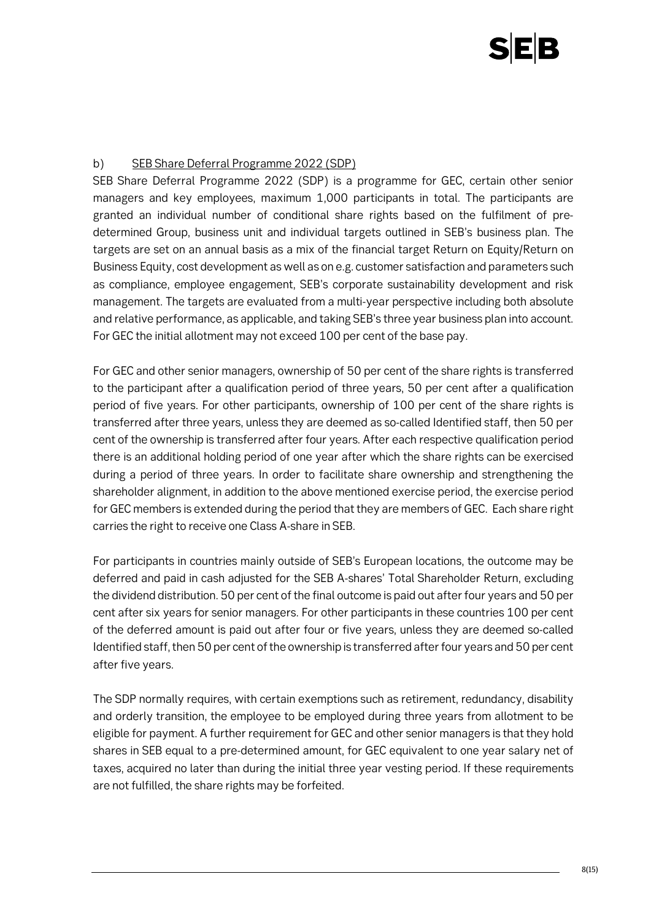# **JEB**

# b) SEB Share Deferral Programme 2022 (SDP)

SEB Share Deferral Programme 2022 (SDP) is a programme for GEC, certain other senior managers and key employees, maximum 1,000 participants in total. The participants are granted an individual number of conditional share rights based on the fulfilment of predetermined Group, business unit and individual targets outlined in SEB's business plan. The targets are set on an annual basis as a mix of the financial target Return on Equity/Return on Business Equity, cost development as well as on e.g. customer satisfaction and parameters such as compliance, employee engagement, SEB's corporate sustainability development and risk management. The targets are evaluated from a multi-year perspective including both absolute and relative performance, as applicable, and taking SEB's three year business plan into account. For GEC the initial allotment may not exceed 100 per cent of the base pay.

For GEC and other senior managers, ownership of 50 per cent of the share rights is transferred to the participant after a qualification period of three years, 50 per cent after a qualification period of five years. For other participants, ownership of 100 per cent of the share rights is transferred after three years, unless they are deemed as so-called Identified staff, then 50 per cent of the ownership is transferred after four years. After each respective qualification period there is an additional holding period of one year after which the share rights can be exercised during a period of three years. In order to facilitate share ownership and strengthening the shareholder alignment, in addition to the above mentioned exercise period, the exercise period for GEC members is extended during the period that they are members of GEC. Each share right carries the right to receive one Class A-share in SEB.

For participants in countries mainly outside of SEB's European locations, the outcome may be deferred and paid in cash adjusted for the SEB A-shares' Total Shareholder Return, excluding the dividend distribution. 50 per cent of the final outcome is paid out after four years and 50 per cent after six years for senior managers. For other participants in these countries 100 per cent of the deferred amount is paid out after four or five years, unless they are deemed so-called Identified staff, then 50 per cent of the ownership is transferred after four years and 50 per cent after five years.

The SDP normally requires, with certain exemptions such as retirement, redundancy, disability and orderly transition, the employee to be employed during three years from allotment to be eligible for payment. A further requirement for GEC and other senior managers is that they hold shares in SEB equal to a pre-determined amount, for GEC equivalent to one year salary net of taxes, acquired no later than during the initial three year vesting period. If these requirements are not fulfilled, the share rights may be forfeited.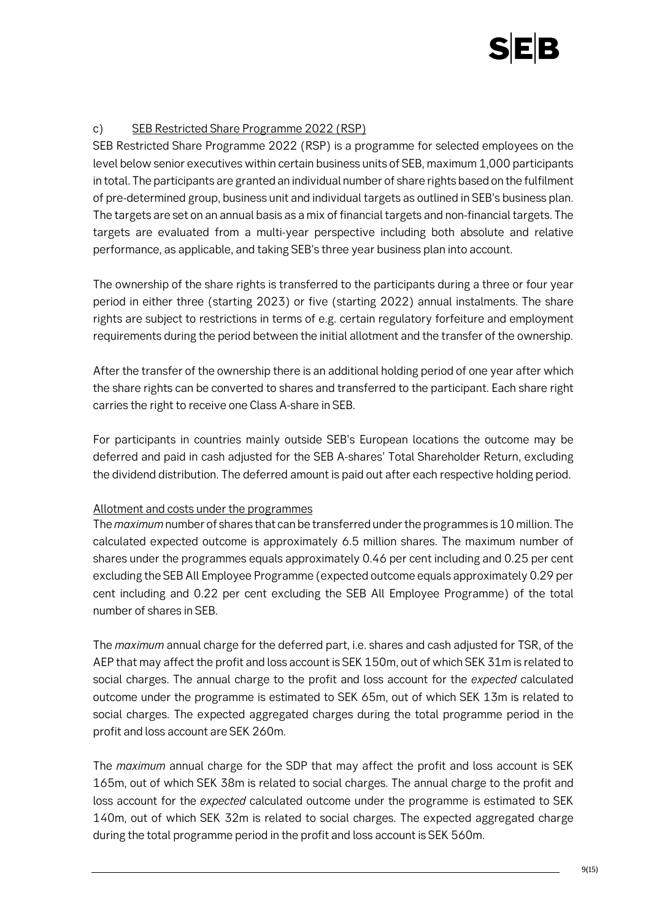

# c) SEB Restricted Share Programme 2022 (RSP)

SEB Restricted Share Programme 2022 (RSP) is a programme for selected employees on the level below senior executives within certain business units of SEB, maximum 1,000 participants in total. The participants are granted an individual number of share rights based on the fulfilment of pre-determined group, business unit and individual targets as outlined in SEB's business plan. The targets are set on an annual basis as a mix of financial targets and non-financial targets. The targets are evaluated from a multi-year perspective including both absolute and relative performance, as applicable, and taking SEB's three year business plan into account.

The ownership of the share rights is transferred to the participants during a three or four year period in either three (starting 2023) or five (starting 2022) annual instalments. The share rights are subject to restrictions in terms of e.g. certain regulatory forfeiture and employment requirements during the period between the initial allotment and the transfer of the ownership.

After the transfer of the ownership there is an additional holding period of one year after which the share rights can be converted to shares and transferred to the participant. Each share right carries the right to receive one Class A-share in SEB.

For participants in countries mainly outside SEB's European locations the outcome may be deferred and paid in cash adjusted for the SEB A-shares' Total Shareholder Return, excluding the dividend distribution. The deferred amount is paid out after each respective holding period.

# Allotment and costs under the programmes

The *maximum*number of shares that can be transferred under the programmes is 10million. The calculated expected outcome is approximately 6.5 million shares. The maximum number of shares under the programmes equals approximately 0.46 per cent including and 0.25 per cent excluding the SEB All Employee Programme (expected outcome equals approximately 0.29 per cent including and 0.22 per cent excluding the SEB All Employee Programme) of the total number of shares in SEB.

The *maximum* annual charge for the deferred part, i.e. shares and cash adjusted for TSR, of the AEP that may affect the profit and loss account is SEK 150m, out of which SEK 31m is related to social charges. The annual charge to the profit and loss account for the *expected* calculated outcome under the programme is estimated to SEK 65m, out of which SEK 13m is related to social charges. The expected aggregated charges during the total programme period in the profit and loss account are SEK 260m.

The *maximum* annual charge for the SDP that may affect the profit and loss account is SEK 165m, out of which SEK 38m is related to social charges. The annual charge to the profit and loss account for the *expected* calculated outcome under the programme is estimated to SEK 140m, out of which SEK 32m is related to social charges. The expected aggregated charge during the total programme period in the profit and loss account is SEK 560m.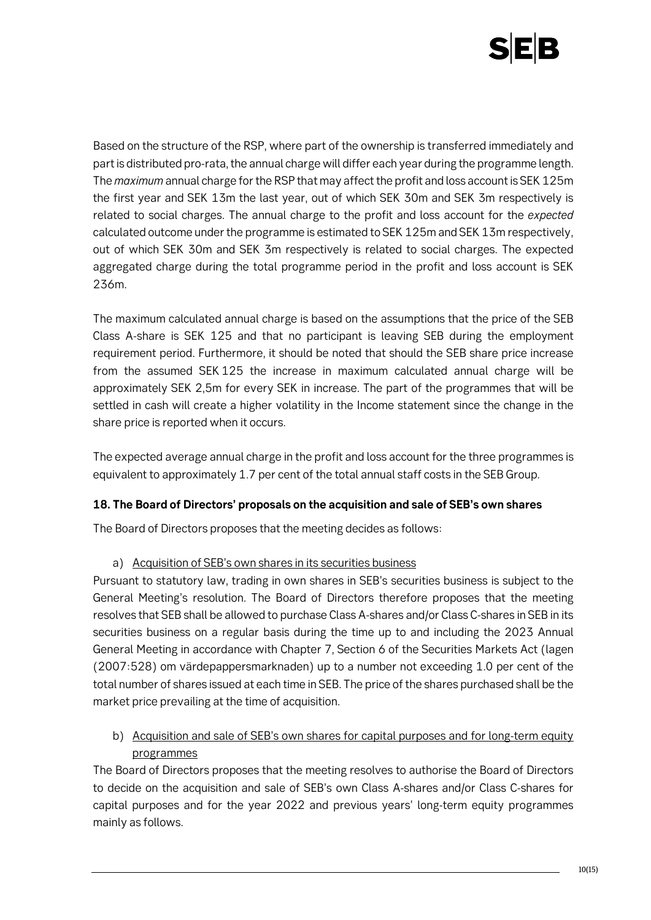

Based on the structure of the RSP, where part of the ownership is transferred immediately and part is distributed pro-rata, the annual charge will differ each year during the programme length. The *maximum* annual charge for the RSP that may affect the profit and loss account is SEK 125m the first year and SEK 13m the last year, out of which SEK 30m and SEK 3m respectively is related to social charges. The annual charge to the profit and loss account for the *expected* calculated outcome under the programme is estimated to SEK 125m and SEK 13m respectively, out of which SEK 30m and SEK 3m respectively is related to social charges. The expected aggregated charge during the total programme period in the profit and loss account is SEK 236m.

The maximum calculated annual charge is based on the assumptions that the price of the SEB Class A-share is SEK 125 and that no participant is leaving SEB during the employment requirement period. Furthermore, it should be noted that should the SEB share price increase from the assumed SEK 125 the increase in maximum calculated annual charge will be approximately SEK 2,5m for every SEK in increase. The part of the programmes that will be settled in cash will create a higher volatility in the Income statement since the change in the share price is reported when it occurs.

The expected average annual charge in the profit and loss account for the three programmes is equivalent to approximately 1.7 per cent of the total annual staff costs in the SEB Group.

# **18. The Board of Directors' proposals on the acquisition and sale of SEB's own shares**

The Board of Directors proposes that the meeting decides as follows:

#### a) Acquisition of SEB's own shares in its securities business

Pursuant to statutory law, trading in own shares in SEB's securities business is subject to the General Meeting's resolution. The Board of Directors therefore proposes that the meeting resolves that SEB shall be allowed to purchase Class A-shares and/or Class C-shares in SEB in its securities business on a regular basis during the time up to and including the 2023 Annual General Meeting in accordance with Chapter 7, Section 6 of the Securities Markets Act (lagen (2007:528) om värdepappersmarknaden) up to a number not exceeding 1.0 per cent of the total number of shares issued at each time in SEB. The price of the shares purchased shall be the market price prevailing at the time of acquisition.

b) Acquisition and sale of SEB's own shares for capital purposes and for long-term equity programmes

The Board of Directors proposes that the meeting resolves to authorise the Board of Directors to decide on the acquisition and sale of SEB's own Class A-shares and/or Class C-shares for capital purposes and for the year 2022 and previous years' long-term equity programmes mainly as follows.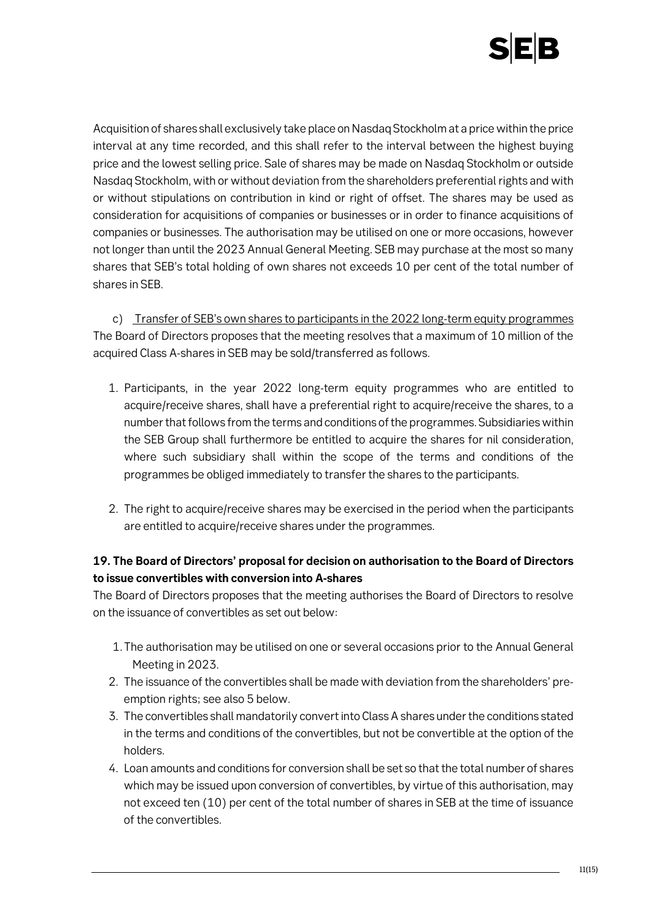

Acquisition of shares shall exclusively take place on Nasdaq Stockholm at a price within the price interval at any time recorded, and this shall refer to the interval between the highest buying price and the lowest selling price. Sale of shares may be made on Nasdaq Stockholm or outside Nasdaq Stockholm, with or without deviation from the shareholders preferential rights and with or without stipulations on contribution in kind or right of offset. The shares may be used as consideration for acquisitions of companies or businesses or in order to finance acquisitions of companies or businesses. The authorisation may be utilised on one or more occasions, however not longer than until the 2023 Annual General Meeting. SEB may purchase at the most so many shares that SEB's total holding of own shares not exceeds 10 per cent of the total number of shares in SEB.

c) Transfer of SEB's own shares to participants in the 2022 long-term equity programmes The Board of Directors proposes that the meeting resolves that a maximum of 10 million of the acquired Class A-shares in SEB may be sold/transferred as follows.

- 1. Participants, in the year 2022 long-term equity programmes who are entitled to acquire/receive shares, shall have a preferential right to acquire/receive the shares, to a number that follows from the terms and conditions of the programmes. Subsidiaries within the SEB Group shall furthermore be entitled to acquire the shares for nil consideration, where such subsidiary shall within the scope of the terms and conditions of the programmes be obliged immediately to transfer the shares to the participants.
- 2. The right to acquire/receive shares may be exercised in the period when the participants are entitled to acquire/receive shares under the programmes.

# **19. The Board of Directors' proposal for decision on authorisation to the Board of Directors to issue convertibles with conversion into A-shares**

The Board of Directors proposes that the meeting authorises the Board of Directors to resolve on the issuance of convertibles as set out below:

- 1.The authorisation may be utilised on one or several occasions prior to the Annual General Meeting in 2023.
- 2. The issuance of the convertibles shall be made with deviation from the shareholders' preemption rights; see also 5 below.
- 3. The convertibles shall mandatorily convert into Class A shares under the conditions stated in the terms and conditions of the convertibles, but not be convertible at the option of the holders.
- 4. Loan amounts and conditions for conversion shall be set so that the total number of shares which may be issued upon conversion of convertibles, by virtue of this authorisation, may not exceed ten (10) per cent of the total number of shares in SEB at the time of issuance of the convertibles.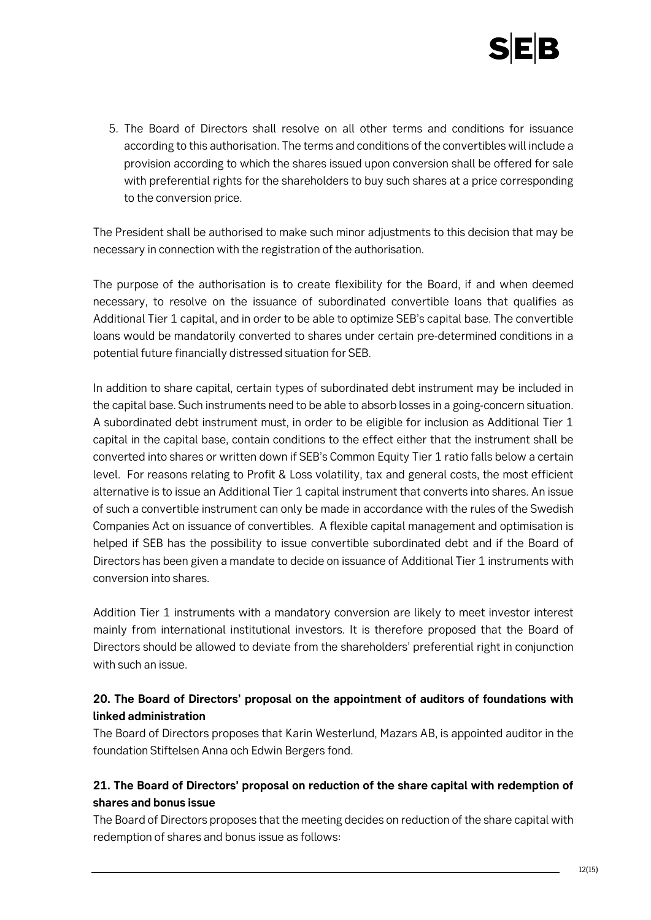

5. The Board of Directors shall resolve on all other terms and conditions for issuance according to this authorisation. The terms and conditions of the convertibles will include a provision according to which the shares issued upon conversion shall be offered for sale with preferential rights for the shareholders to buy such shares at a price corresponding to the conversion price.

The President shall be authorised to make such minor adjustments to this decision that may be necessary in connection with the registration of the authorisation.

The purpose of the authorisation is to create flexibility for the Board, if and when deemed necessary, to resolve on the issuance of subordinated convertible loans that qualifies as Additional Tier 1 capital, and in order to be able to optimize SEB's capital base. The convertible loans would be mandatorily converted to shares under certain pre-determined conditions in a potential future financially distressed situation for SEB.

In addition to share capital, certain types of subordinated debt instrument may be included in the capital base. Such instruments need to be able to absorb losses in a going-concern situation. A subordinated debt instrument must, in order to be eligible for inclusion as Additional Tier 1 capital in the capital base, contain conditions to the effect either that the instrument shall be converted into shares or written down if SEB's Common Equity Tier 1 ratio falls below a certain level. For reasons relating to Profit & Loss volatility, tax and general costs, the most efficient alternative is to issue an Additional Tier 1 capital instrument that converts into shares. An issue of such a convertible instrument can only be made in accordance with the rules of the Swedish Companies Act on issuance of convertibles. A flexible capital management and optimisation is helped if SEB has the possibility to issue convertible subordinated debt and if the Board of Directors has been given a mandate to decide on issuance of Additional Tier 1 instruments with conversion into shares.

Addition Tier 1 instruments with a mandatory conversion are likely to meet investor interest mainly from international institutional investors. It is therefore proposed that the Board of Directors should be allowed to deviate from the shareholders' preferential right in conjunction with such an issue.

# **20. The Board of Directors' proposal on the appointment of auditors of foundations with linked administration**

The Board of Directors proposes that Karin Westerlund, Mazars AB, is appointed auditor in the foundation Stiftelsen Anna och Edwin Bergers fond.

# **21. The Board of Directors' proposal on reduction of the share capital with redemption of shares and bonus issue**

The Board of Directors proposes that the meeting decides on reduction of the share capital with redemption of shares and bonus issue as follows: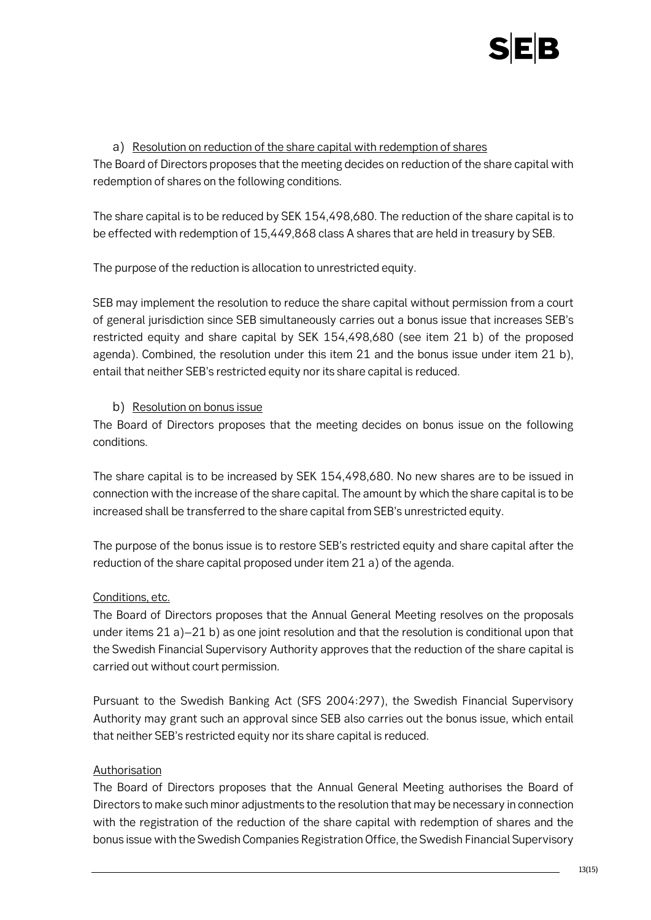

#### a) Resolution on reduction of the share capital with redemption of shares

The Board of Directors proposes that the meeting decides on reduction of the share capital with redemption of shares on the following conditions.

The share capital is to be reduced by SEK 154,498,680. The reduction of the share capital is to be effected with redemption of 15,449,868 class A shares that are held in treasury by SEB.

The purpose of the reduction is allocation to unrestricted equity.

SEB may implement the resolution to reduce the share capital without permission from a court of general jurisdiction since SEB simultaneously carries out a bonus issue that increases SEB's restricted equity and share capital by SEK 154,498,680 (see item 21 b) of the proposed agenda). Combined, the resolution under this item 21 and the bonus issue under item 21 b), entail that neither SEB's restricted equity nor its share capital is reduced.

# b) Resolution on bonus issue

The Board of Directors proposes that the meeting decides on bonus issue on the following conditions.

The share capital is to be increased by SEK 154,498,680. No new shares are to be issued in connection with the increase of the share capital. The amount by which the share capital is to be increased shall be transferred to the share capital from SEB's unrestricted equity.

The purpose of the bonus issue is to restore SEB's restricted equity and share capital after the reduction of the share capital proposed under item 21 a) of the agenda.

# Conditions, etc.

The Board of Directors proposes that the Annual General Meeting resolves on the proposals under items 21 a)–21 b) as one joint resolution and that the resolution is conditional upon that the Swedish Financial Supervisory Authority approves that the reduction of the share capital is carried out without court permission.

Pursuant to the Swedish Banking Act (SFS 2004:297), the Swedish Financial Supervisory Authority may grant such an approval since SEB also carries out the bonus issue, which entail that neither SEB's restricted equity nor its share capital is reduced.

# Authorisation

The Board of Directors proposes that the Annual General Meeting authorises the Board of Directors to make such minor adjustments to the resolution that may be necessary in connection with the registration of the reduction of the share capital with redemption of shares and the bonus issue with the Swedish Companies Registration Office, the Swedish Financial Supervisory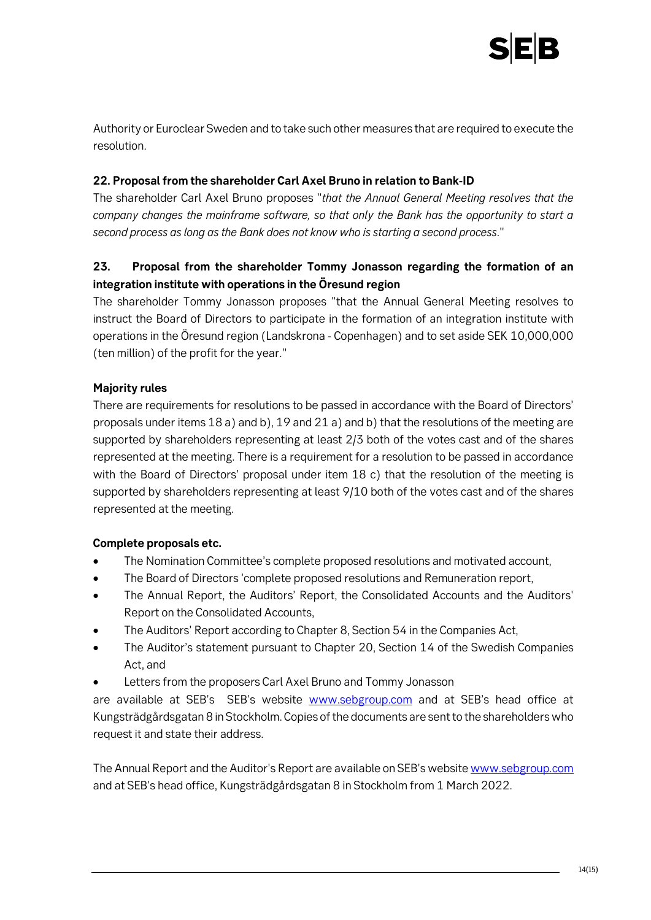Authority or Euroclear Sweden and to take such other measures that are required to execute the resolution.

# **22. Proposal from the shareholder Carl Axel Bruno in relation to Bank-ID**

The shareholder Carl Axel Bruno proposes "*that the Annual General Meeting resolves that the company changes the mainframe software, so that only the Bank has the opportunity to start a second process as long as the Bank does not know who is starting a second process*."

# **23. Proposal from the shareholder Tommy Jonasson regarding the formation of an integration institute with operations in the Öresund region**

The shareholder Tommy Jonasson proposes "that the Annual General Meeting resolves to instruct the Board of Directors to participate in the formation of an integration institute with operations in the Öresund region (Landskrona - Copenhagen) and to set aside SEK 10,000,000 (ten million) of the profit for the year."

# **Majority rules**

There are requirements for resolutions to be passed in accordance with the Board of Directors' proposals under items 18 a) and b), 19 and 21 a) and b) that the resolutions of the meeting are supported by shareholders representing at least 2/3 both of the votes cast and of the shares represented at the meeting. There is a requirement for a resolution to be passed in accordance with the Board of Directors' proposal under item 18 c) that the resolution of the meeting is supported by shareholders representing at least 9/10 both of the votes cast and of the shares represented at the meeting.

# **Complete proposals etc.**

- The Nomination Committee's complete proposed resolutions and motivated account,
- The Board of Directors 'complete proposed resolutions and Remuneration report,
- The Annual Report, the Auditors' Report, the Consolidated Accounts and the Auditors' Report on the Consolidated Accounts,
- The Auditors' Report according to Chapter 8, Section 54 in the Companies Act,
- The Auditor's statement pursuant to Chapter 20, Section 14 of the Swedish Companies Act, and
- Letters from the proposers Carl Axel Bruno and Tommy Jonasson

are available at SEB's SEB's website [www.sebgroup.com](http://www.sebgroup.com/) and at SEB's head office at Kungsträdgårdsgatan 8 in Stockholm. Copies of the documents are sent to the shareholders who request it and state their address.

The Annual Report and the Auditor's Report are available on SEB's websit[e www.sebgroup.com](http://www.sebgroup.com/) and at SEB's head office, Kungsträdgårdsgatan 8 in Stockholm from 1 March 2022.